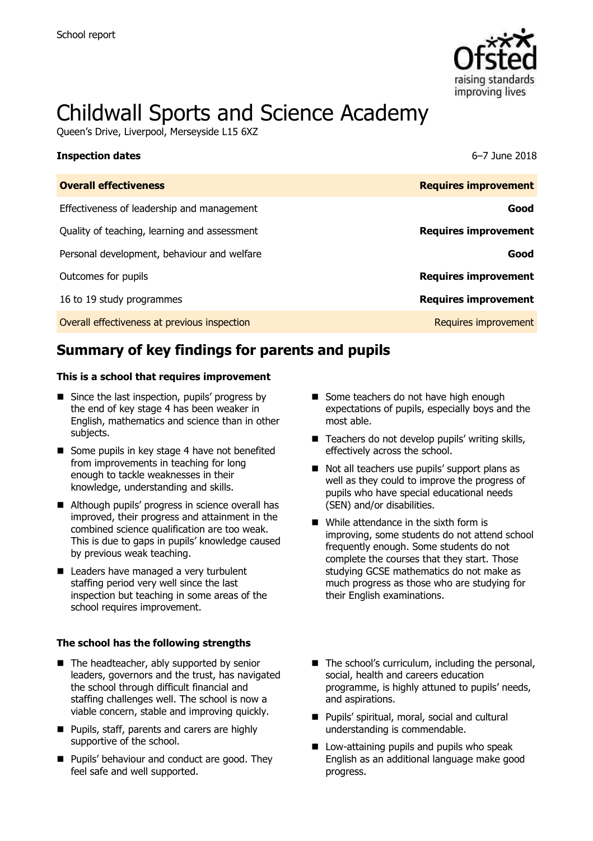

# Childwall Sports and Science Academy

Queen's Drive, Liverpool, Merseyside L15 6XZ

| <b>Overall effectiveness</b>                 | <b>Requires improvement</b> |
|----------------------------------------------|-----------------------------|
| Effectiveness of leadership and management   | Good                        |
| Quality of teaching, learning and assessment | <b>Requires improvement</b> |
| Personal development, behaviour and welfare  | Good                        |
| Outcomes for pupils                          | <b>Requires improvement</b> |
| 16 to 19 study programmes                    | <b>Requires improvement</b> |
| Overall effectiveness at previous inspection | Requires improvement        |

**Inspection dates** 6–7 June 2018

# **Summary of key findings for parents and pupils**

#### **This is a school that requires improvement**

- $\blacksquare$  Since the last inspection, pupils' progress by the end of key stage 4 has been weaker in English, mathematics and science than in other subjects.
- Some pupils in key stage 4 have not benefited from improvements in teaching for long enough to tackle weaknesses in their knowledge, understanding and skills.
- Although pupils' progress in science overall has improved, their progress and attainment in the combined science qualification are too weak. This is due to gaps in pupils' knowledge caused by previous weak teaching.
- Leaders have managed a very turbulent staffing period very well since the last inspection but teaching in some areas of the school requires improvement.

#### **The school has the following strengths**

- The headteacher, ably supported by senior leaders, governors and the trust, has navigated the school through difficult financial and staffing challenges well. The school is now a viable concern, stable and improving quickly.
- **Pupils, staff, parents and carers are highly** supportive of the school.
- **Pupils' behaviour and conduct are good. They** feel safe and well supported.
- Some teachers do not have high enough expectations of pupils, especially boys and the most able.
- Teachers do not develop pupils' writing skills, effectively across the school.
- Not all teachers use pupils' support plans as well as they could to improve the progress of pupils who have special educational needs (SEN) and/or disabilities.
- While attendance in the sixth form is improving, some students do not attend school frequently enough. Some students do not complete the courses that they start. Those studying GCSE mathematics do not make as much progress as those who are studying for their English examinations.
- The school's curriculum, including the personal, social, health and careers education programme, is highly attuned to pupils' needs, and aspirations.
- Pupils' spiritual, moral, social and cultural understanding is commendable.
- **Low-attaining pupils and pupils who speak** English as an additional language make good progress.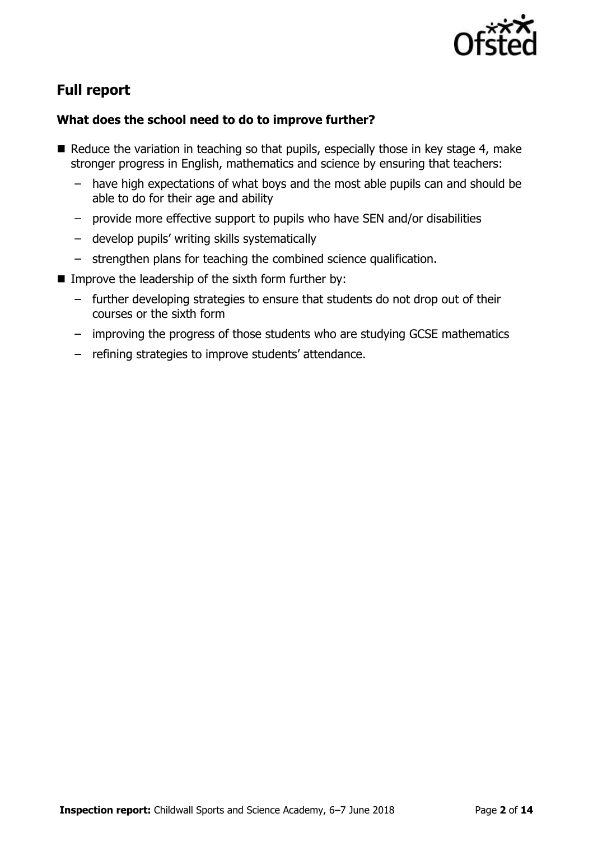

# **Full report**

### **What does the school need to do to improve further?**

- $\blacksquare$  Reduce the variation in teaching so that pupils, especially those in key stage 4, make stronger progress in English, mathematics and science by ensuring that teachers:
	- have high expectations of what boys and the most able pupils can and should be able to do for their age and ability
	- provide more effective support to pupils who have SEN and/or disabilities
	- develop pupils' writing skills systematically
	- strengthen plans for teaching the combined science qualification.
- Improve the leadership of the sixth form further by:
	- further developing strategies to ensure that students do not drop out of their courses or the sixth form
	- improving the progress of those students who are studying GCSE mathematics
	- refining strategies to improve students' attendance.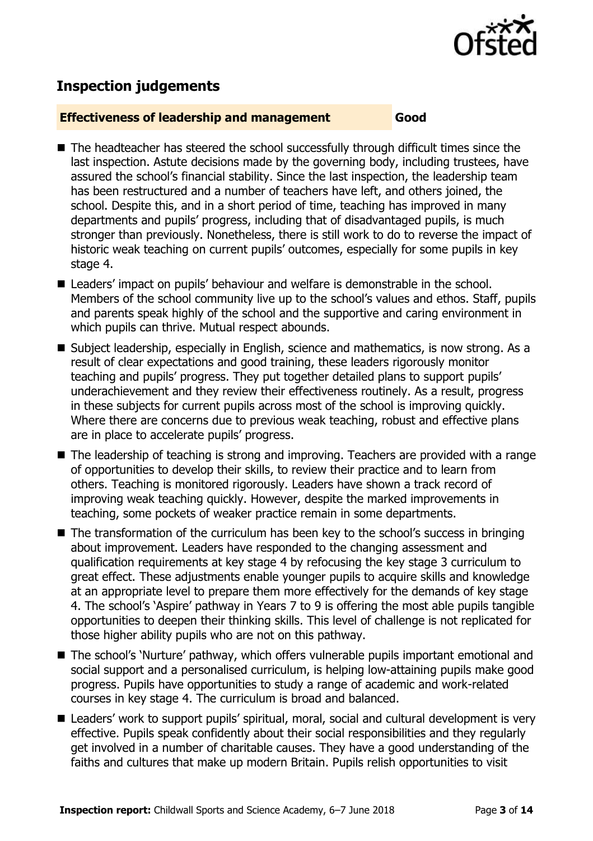

# **Inspection judgements**

#### **Effectiveness of leadership and management Good**

- The headteacher has steered the school successfully through difficult times since the last inspection. Astute decisions made by the governing body, including trustees, have assured the school's financial stability. Since the last inspection, the leadership team has been restructured and a number of teachers have left, and others joined, the school. Despite this, and in a short period of time, teaching has improved in many departments and pupils' progress, including that of disadvantaged pupils, is much stronger than previously. Nonetheless, there is still work to do to reverse the impact of historic weak teaching on current pupils' outcomes, especially for some pupils in key stage 4.
- Leaders' impact on pupils' behaviour and welfare is demonstrable in the school. Members of the school community live up to the school's values and ethos. Staff, pupils and parents speak highly of the school and the supportive and caring environment in which pupils can thrive. Mutual respect abounds.
- Subject leadership, especially in English, science and mathematics, is now strong. As a result of clear expectations and good training, these leaders rigorously monitor teaching and pupils' progress. They put together detailed plans to support pupils' underachievement and they review their effectiveness routinely. As a result, progress in these subjects for current pupils across most of the school is improving quickly. Where there are concerns due to previous weak teaching, robust and effective plans are in place to accelerate pupils' progress.
- The leadership of teaching is strong and improving. Teachers are provided with a range of opportunities to develop their skills, to review their practice and to learn from others. Teaching is monitored rigorously. Leaders have shown a track record of improving weak teaching quickly. However, despite the marked improvements in teaching, some pockets of weaker practice remain in some departments.
- The transformation of the curriculum has been key to the school's success in bringing about improvement. Leaders have responded to the changing assessment and qualification requirements at key stage 4 by refocusing the key stage 3 curriculum to great effect. These adjustments enable younger pupils to acquire skills and knowledge at an appropriate level to prepare them more effectively for the demands of key stage 4. The school's 'Aspire' pathway in Years 7 to 9 is offering the most able pupils tangible opportunities to deepen their thinking skills. This level of challenge is not replicated for those higher ability pupils who are not on this pathway.
- The school's 'Nurture' pathway, which offers vulnerable pupils important emotional and social support and a personalised curriculum, is helping low-attaining pupils make good progress. Pupils have opportunities to study a range of academic and work-related courses in key stage 4. The curriculum is broad and balanced.
- Leaders' work to support pupils' spiritual, moral, social and cultural development is very effective. Pupils speak confidently about their social responsibilities and they regularly get involved in a number of charitable causes. They have a good understanding of the faiths and cultures that make up modern Britain. Pupils relish opportunities to visit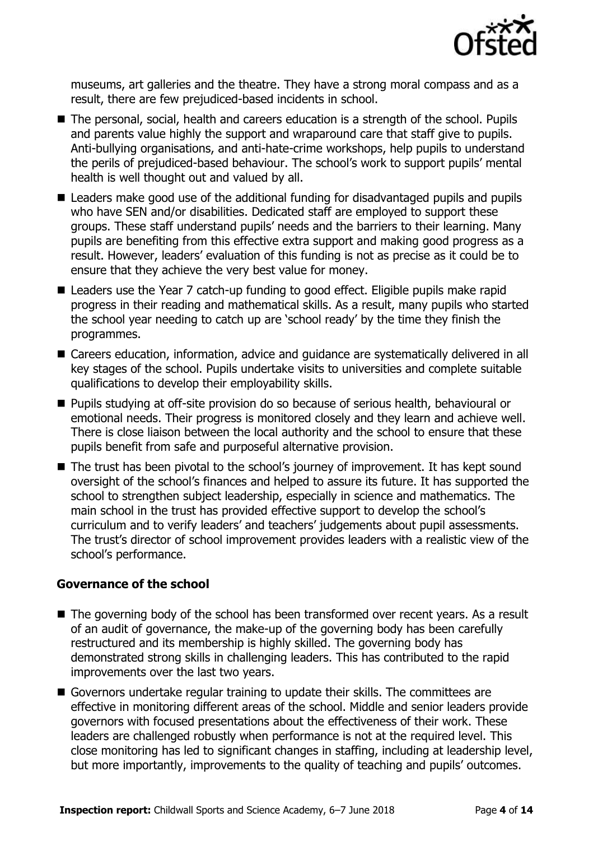

museums, art galleries and the theatre. They have a strong moral compass and as a result, there are few prejudiced-based incidents in school.

- The personal, social, health and careers education is a strength of the school. Pupils and parents value highly the support and wraparound care that staff give to pupils. Anti-bullying organisations, and anti-hate-crime workshops, help pupils to understand the perils of prejudiced-based behaviour. The school's work to support pupils' mental health is well thought out and valued by all.
- Leaders make good use of the additional funding for disadvantaged pupils and pupils who have SEN and/or disabilities. Dedicated staff are employed to support these groups. These staff understand pupils' needs and the barriers to their learning. Many pupils are benefiting from this effective extra support and making good progress as a result. However, leaders' evaluation of this funding is not as precise as it could be to ensure that they achieve the very best value for money.
- Leaders use the Year 7 catch-up funding to good effect. Eligible pupils make rapid progress in their reading and mathematical skills. As a result, many pupils who started the school year needing to catch up are 'school ready' by the time they finish the programmes.
- Careers education, information, advice and guidance are systematically delivered in all key stages of the school. Pupils undertake visits to universities and complete suitable qualifications to develop their employability skills.
- **Pupils studying at off-site provision do so because of serious health, behavioural or** emotional needs. Their progress is monitored closely and they learn and achieve well. There is close liaison between the local authority and the school to ensure that these pupils benefit from safe and purposeful alternative provision.
- The trust has been pivotal to the school's journey of improvement. It has kept sound oversight of the school's finances and helped to assure its future. It has supported the school to strengthen subject leadership, especially in science and mathematics. The main school in the trust has provided effective support to develop the school's curriculum and to verify leaders' and teachers' judgements about pupil assessments. The trust's director of school improvement provides leaders with a realistic view of the school's performance.

### **Governance of the school**

- The governing body of the school has been transformed over recent years. As a result of an audit of governance, the make-up of the governing body has been carefully restructured and its membership is highly skilled. The governing body has demonstrated strong skills in challenging leaders. This has contributed to the rapid improvements over the last two years.
- Governors undertake regular training to update their skills. The committees are effective in monitoring different areas of the school. Middle and senior leaders provide governors with focused presentations about the effectiveness of their work. These leaders are challenged robustly when performance is not at the required level. This close monitoring has led to significant changes in staffing, including at leadership level, but more importantly, improvements to the quality of teaching and pupils' outcomes.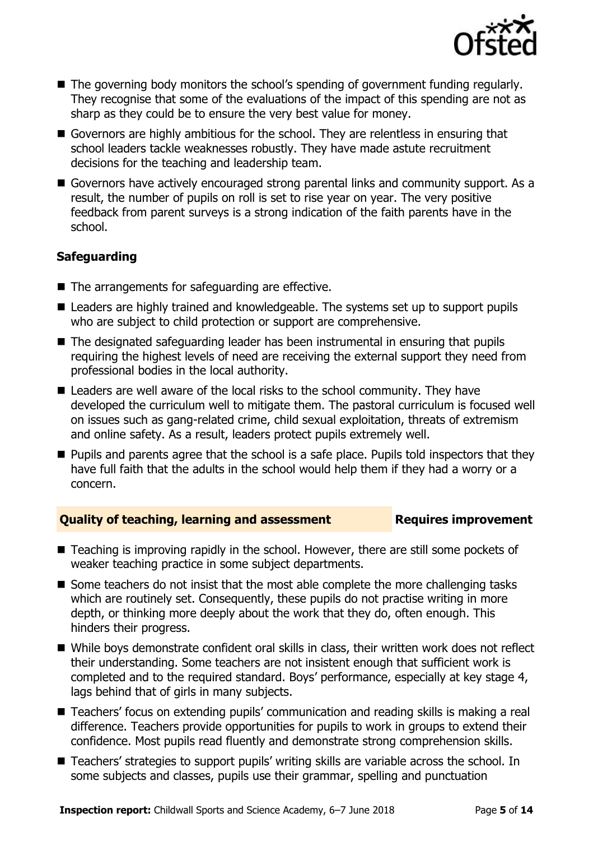

- The governing body monitors the school's spending of government funding regularly. They recognise that some of the evaluations of the impact of this spending are not as sharp as they could be to ensure the very best value for money.
- Governors are highly ambitious for the school. They are relentless in ensuring that school leaders tackle weaknesses robustly. They have made astute recruitment decisions for the teaching and leadership team.
- Governors have actively encouraged strong parental links and community support. As a result, the number of pupils on roll is set to rise year on year. The very positive feedback from parent surveys is a strong indication of the faith parents have in the school.

### **Safeguarding**

- The arrangements for safeguarding are effective.
- Leaders are highly trained and knowledgeable. The systems set up to support pupils who are subject to child protection or support are comprehensive.
- The designated safeguarding leader has been instrumental in ensuring that pupils requiring the highest levels of need are receiving the external support they need from professional bodies in the local authority.
- Leaders are well aware of the local risks to the school community. They have developed the curriculum well to mitigate them. The pastoral curriculum is focused well on issues such as gang-related crime, child sexual exploitation, threats of extremism and online safety. As a result, leaders protect pupils extremely well.
- **Pupils and parents agree that the school is a safe place. Pupils told inspectors that they** have full faith that the adults in the school would help them if they had a worry or a concern.

### **Quality of teaching, learning and assessment Requires improvement**

- Teaching is improving rapidly in the school. However, there are still some pockets of weaker teaching practice in some subject departments.
- Some teachers do not insist that the most able complete the more challenging tasks which are routinely set. Consequently, these pupils do not practise writing in more depth, or thinking more deeply about the work that they do, often enough. This hinders their progress.
- While boys demonstrate confident oral skills in class, their written work does not reflect their understanding. Some teachers are not insistent enough that sufficient work is completed and to the required standard. Boys' performance, especially at key stage 4, lags behind that of girls in many subjects.
- Teachers' focus on extending pupils' communication and reading skills is making a real difference. Teachers provide opportunities for pupils to work in groups to extend their confidence. Most pupils read fluently and demonstrate strong comprehension skills.
- Teachers' strategies to support pupils' writing skills are variable across the school. In some subjects and classes, pupils use their grammar, spelling and punctuation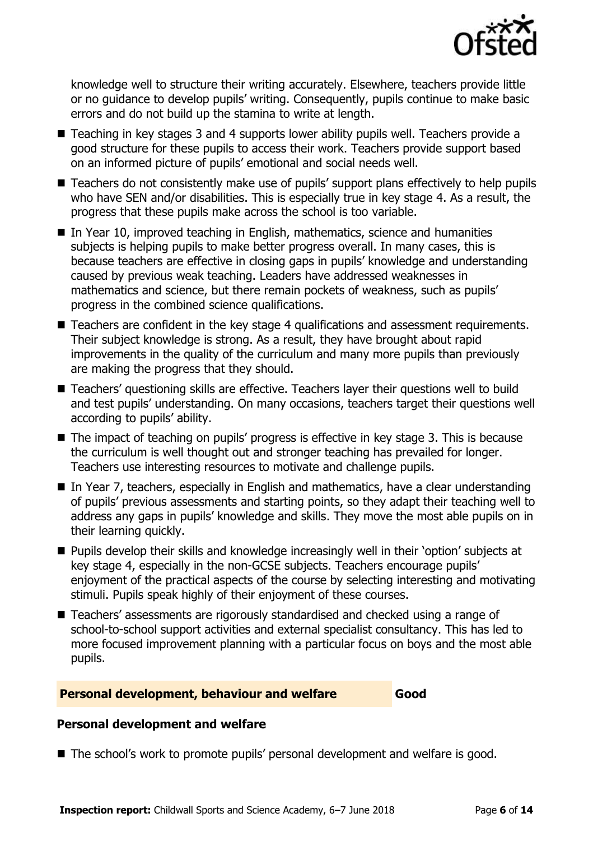

knowledge well to structure their writing accurately. Elsewhere, teachers provide little or no guidance to develop pupils' writing. Consequently, pupils continue to make basic errors and do not build up the stamina to write at length.

- Teaching in key stages 3 and 4 supports lower ability pupils well. Teachers provide a good structure for these pupils to access their work. Teachers provide support based on an informed picture of pupils' emotional and social needs well.
- Teachers do not consistently make use of pupils' support plans effectively to help pupils who have SEN and/or disabilities. This is especially true in key stage 4. As a result, the progress that these pupils make across the school is too variable.
- In Year 10, improved teaching in English, mathematics, science and humanities subjects is helping pupils to make better progress overall. In many cases, this is because teachers are effective in closing gaps in pupils' knowledge and understanding caused by previous weak teaching. Leaders have addressed weaknesses in mathematics and science, but there remain pockets of weakness, such as pupils' progress in the combined science qualifications.
- Teachers are confident in the key stage 4 qualifications and assessment requirements. Their subject knowledge is strong. As a result, they have brought about rapid improvements in the quality of the curriculum and many more pupils than previously are making the progress that they should.
- Teachers' questioning skills are effective. Teachers layer their questions well to build and test pupils' understanding. On many occasions, teachers target their questions well according to pupils' ability.
- The impact of teaching on pupils' progress is effective in key stage 3. This is because the curriculum is well thought out and stronger teaching has prevailed for longer. Teachers use interesting resources to motivate and challenge pupils.
- In Year 7, teachers, especially in English and mathematics, have a clear understanding of pupils' previous assessments and starting points, so they adapt their teaching well to address any gaps in pupils' knowledge and skills. They move the most able pupils on in their learning quickly.
- **Pupils develop their skills and knowledge increasingly well in their 'option' subjects at** key stage 4, especially in the non-GCSE subjects. Teachers encourage pupils' enjoyment of the practical aspects of the course by selecting interesting and motivating stimuli. Pupils speak highly of their enjoyment of these courses.
- Teachers' assessments are rigorously standardised and checked using a range of school-to-school support activities and external specialist consultancy. This has led to more focused improvement planning with a particular focus on boys and the most able pupils.

### **Personal development, behaviour and welfare Good**

#### **Personal development and welfare**

■ The school's work to promote pupils' personal development and welfare is good.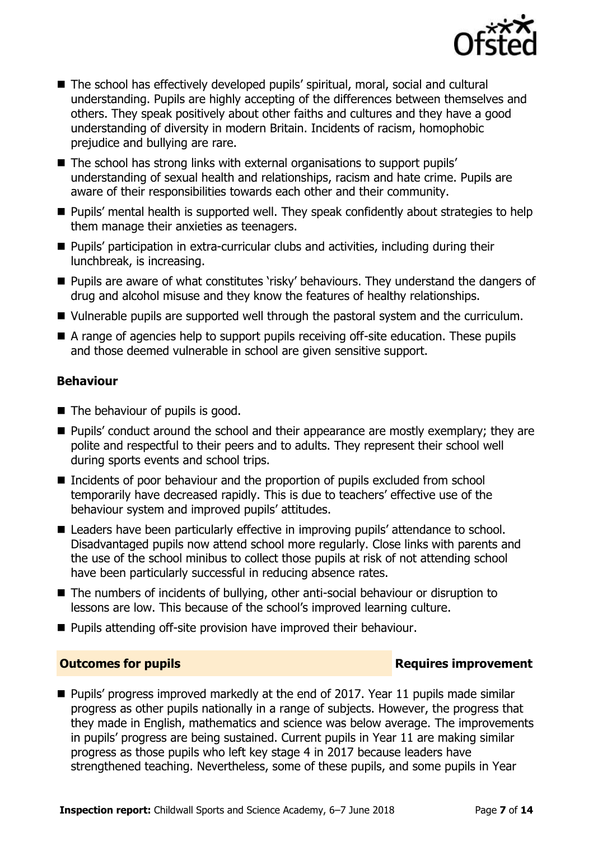

- The school has effectively developed pupils' spiritual, moral, social and cultural understanding. Pupils are highly accepting of the differences between themselves and others. They speak positively about other faiths and cultures and they have a good understanding of diversity in modern Britain. Incidents of racism, homophobic prejudice and bullying are rare.
- The school has strong links with external organisations to support pupils' understanding of sexual health and relationships, racism and hate crime. Pupils are aware of their responsibilities towards each other and their community.
- **Pupils'** mental health is supported well. They speak confidently about strategies to help them manage their anxieties as teenagers.
- **Pupils' participation in extra-curricular clubs and activities, including during their** lunchbreak, is increasing.
- **Pupils are aware of what constitutes 'risky' behaviours. They understand the dangers of** drug and alcohol misuse and they know the features of healthy relationships.
- Vulnerable pupils are supported well through the pastoral system and the curriculum.
- A range of agencies help to support pupils receiving off-site education. These pupils and those deemed vulnerable in school are given sensitive support.

### **Behaviour**

- The behaviour of pupils is good.
- **Pupils'** conduct around the school and their appearance are mostly exemplary; they are polite and respectful to their peers and to adults. They represent their school well during sports events and school trips.
- Incidents of poor behaviour and the proportion of pupils excluded from school temporarily have decreased rapidly. This is due to teachers' effective use of the behaviour system and improved pupils' attitudes.
- Leaders have been particularly effective in improving pupils' attendance to school. Disadvantaged pupils now attend school more regularly. Close links with parents and the use of the school minibus to collect those pupils at risk of not attending school have been particularly successful in reducing absence rates.
- The numbers of incidents of bullying, other anti-social behaviour or disruption to lessons are low. This because of the school's improved learning culture.
- **Pupils attending off-site provision have improved their behaviour.**

### **Outcomes for pupils Requires improvement**

Pupils' progress improved markedly at the end of 2017. Year 11 pupils made similar progress as other pupils nationally in a range of subjects. However, the progress that they made in English, mathematics and science was below average. The improvements in pupils' progress are being sustained. Current pupils in Year 11 are making similar progress as those pupils who left key stage 4 in 2017 because leaders have strengthened teaching. Nevertheless, some of these pupils, and some pupils in Year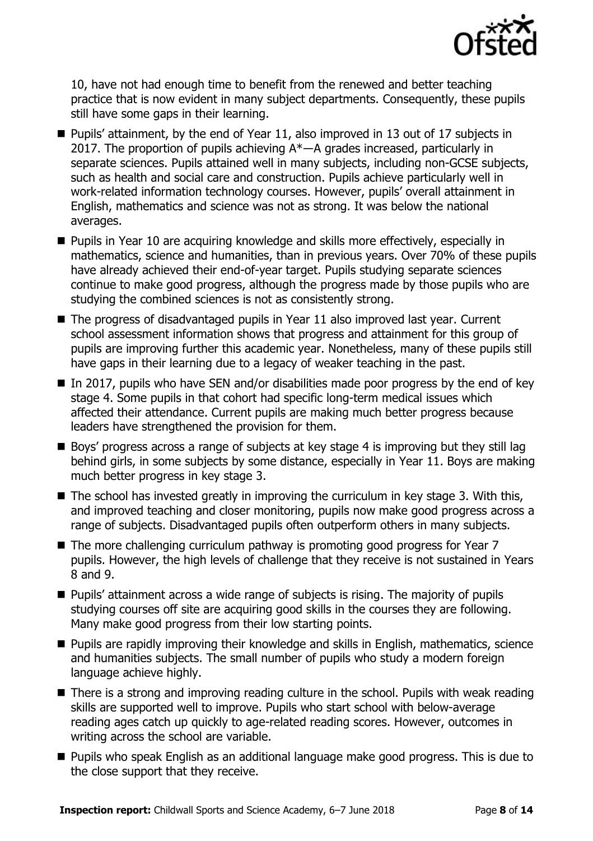

10, have not had enough time to benefit from the renewed and better teaching practice that is now evident in many subject departments. Consequently, these pupils still have some gaps in their learning.

- Pupils' attainment, by the end of Year 11, also improved in 13 out of 17 subjects in 2017. The proportion of pupils achieving  $A^*$ —A grades increased, particularly in separate sciences. Pupils attained well in many subjects, including non-GCSE subjects, such as health and social care and construction. Pupils achieve particularly well in work-related information technology courses. However, pupils' overall attainment in English, mathematics and science was not as strong. It was below the national averages.
- Pupils in Year 10 are acquiring knowledge and skills more effectively, especially in mathematics, science and humanities, than in previous years. Over 70% of these pupils have already achieved their end-of-year target. Pupils studying separate sciences continue to make good progress, although the progress made by those pupils who are studying the combined sciences is not as consistently strong.
- $\blacksquare$  The progress of disadvantaged pupils in Year 11 also improved last year. Current school assessment information shows that progress and attainment for this group of pupils are improving further this academic year. Nonetheless, many of these pupils still have gaps in their learning due to a legacy of weaker teaching in the past.
- In 2017, pupils who have SEN and/or disabilities made poor progress by the end of key stage 4. Some pupils in that cohort had specific long-term medical issues which affected their attendance. Current pupils are making much better progress because leaders have strengthened the provision for them.
- Boys' progress across a range of subjects at key stage 4 is improving but they still lag behind girls, in some subjects by some distance, especially in Year 11. Boys are making much better progress in key stage 3.
- $\blacksquare$  The school has invested greatly in improving the curriculum in key stage 3. With this, and improved teaching and closer monitoring, pupils now make good progress across a range of subjects. Disadvantaged pupils often outperform others in many subjects.
- The more challenging curriculum pathway is promoting good progress for Year 7 pupils. However, the high levels of challenge that they receive is not sustained in Years 8 and 9.
- Pupils' attainment across a wide range of subjects is rising. The majority of pupils studying courses off site are acquiring good skills in the courses they are following. Many make good progress from their low starting points.
- **Pupils are rapidly improving their knowledge and skills in English, mathematics, science** and humanities subjects. The small number of pupils who study a modern foreign language achieve highly.
- There is a strong and improving reading culture in the school. Pupils with weak reading skills are supported well to improve. Pupils who start school with below-average reading ages catch up quickly to age-related reading scores. However, outcomes in writing across the school are variable.
- **Pupils who speak English as an additional language make good progress. This is due to** the close support that they receive.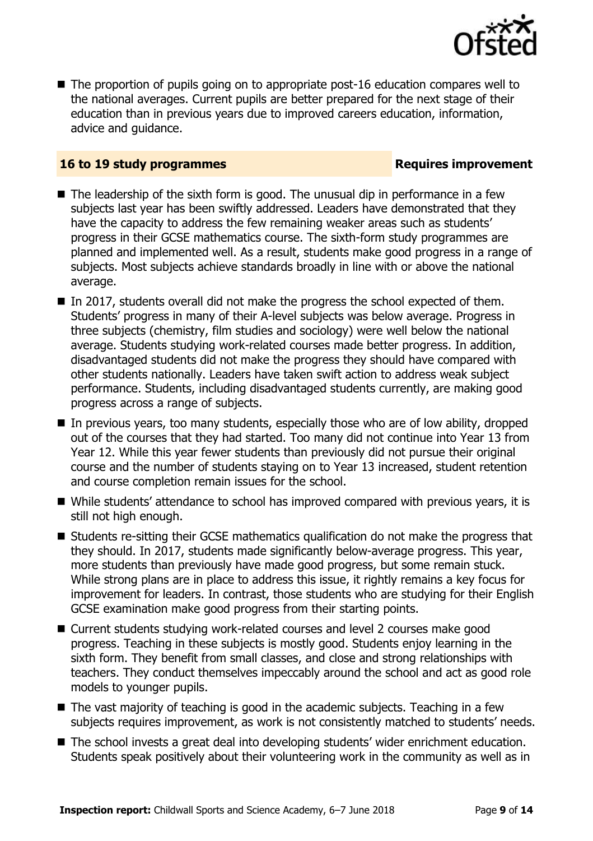

■ The proportion of pupils going on to appropriate post-16 education compares well to the national averages. Current pupils are better prepared for the next stage of their education than in previous years due to improved careers education, information, advice and guidance.

#### **16 to 19 study programmes Requires improvement**

- $\blacksquare$  The leadership of the sixth form is good. The unusual dip in performance in a few subjects last year has been swiftly addressed. Leaders have demonstrated that they have the capacity to address the few remaining weaker areas such as students' progress in their GCSE mathematics course. The sixth-form study programmes are planned and implemented well. As a result, students make good progress in a range of subjects. Most subjects achieve standards broadly in line with or above the national average.
- $\blacksquare$  In 2017, students overall did not make the progress the school expected of them. Students' progress in many of their A-level subjects was below average. Progress in three subjects (chemistry, film studies and sociology) were well below the national average. Students studying work-related courses made better progress. In addition, disadvantaged students did not make the progress they should have compared with other students nationally. Leaders have taken swift action to address weak subject performance. Students, including disadvantaged students currently, are making good progress across a range of subjects.
- In previous years, too many students, especially those who are of low ability, dropped out of the courses that they had started. Too many did not continue into Year 13 from Year 12. While this year fewer students than previously did not pursue their original course and the number of students staying on to Year 13 increased, student retention and course completion remain issues for the school.
- While students' attendance to school has improved compared with previous years, it is still not high enough.
- Students re-sitting their GCSE mathematics qualification do not make the progress that they should. In 2017, students made significantly below-average progress. This year, more students than previously have made good progress, but some remain stuck. While strong plans are in place to address this issue, it rightly remains a key focus for improvement for leaders. In contrast, those students who are studying for their English GCSE examination make good progress from their starting points.
- Current students studying work-related courses and level 2 courses make good progress. Teaching in these subjects is mostly good. Students enjoy learning in the sixth form. They benefit from small classes, and close and strong relationships with teachers. They conduct themselves impeccably around the school and act as good role models to younger pupils.
- The vast majority of teaching is good in the academic subjects. Teaching in a few subjects requires improvement, as work is not consistently matched to students' needs.
- The school invests a great deal into developing students' wider enrichment education. Students speak positively about their volunteering work in the community as well as in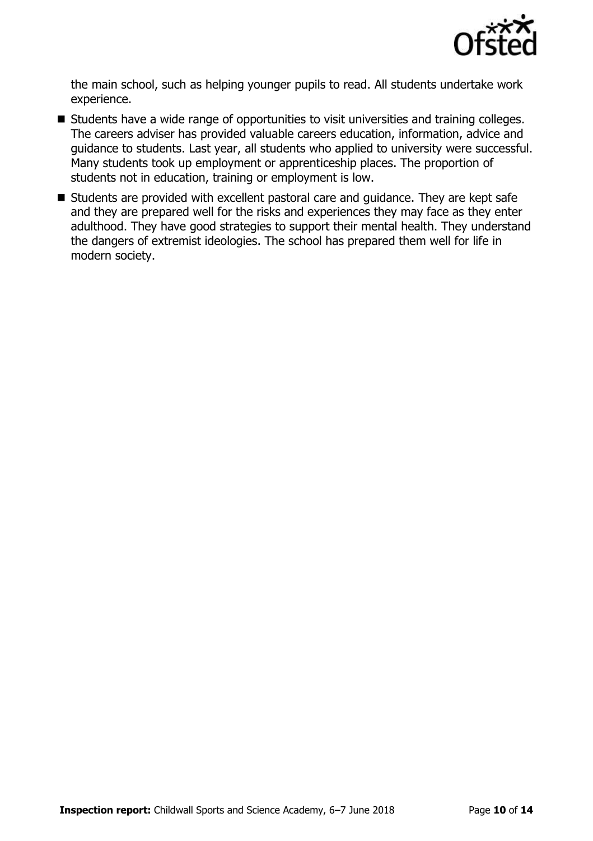

the main school, such as helping younger pupils to read. All students undertake work experience.

- Students have a wide range of opportunities to visit universities and training colleges. The careers adviser has provided valuable careers education, information, advice and guidance to students. Last year, all students who applied to university were successful. Many students took up employment or apprenticeship places. The proportion of students not in education, training or employment is low.
- Students are provided with excellent pastoral care and guidance. They are kept safe and they are prepared well for the risks and experiences they may face as they enter adulthood. They have good strategies to support their mental health. They understand the dangers of extremist ideologies. The school has prepared them well for life in modern society.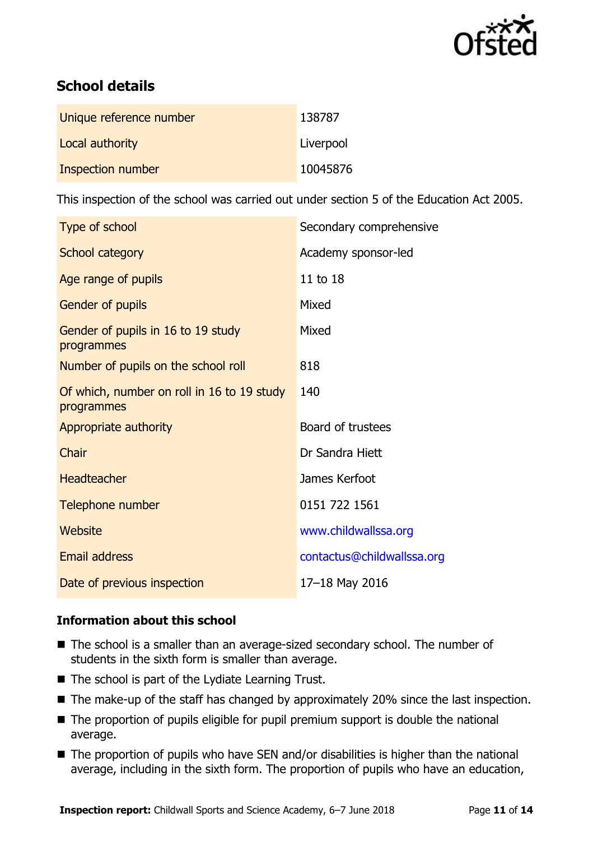

# **School details**

| Unique reference number | 138787    |
|-------------------------|-----------|
| Local authority         | Liverpool |
| Inspection number       | 10045876  |

This inspection of the school was carried out under section 5 of the Education Act 2005.

| Type of school                                           | Secondary comprehensive    |
|----------------------------------------------------------|----------------------------|
| School category                                          | Academy sponsor-led        |
| Age range of pupils                                      | 11 to 18                   |
| Gender of pupils                                         | Mixed                      |
| Gender of pupils in 16 to 19 study<br>programmes         | Mixed                      |
| Number of pupils on the school roll                      | 818                        |
| Of which, number on roll in 16 to 19 study<br>programmes | 140                        |
| Appropriate authority                                    | Board of trustees          |
| Chair                                                    | Dr Sandra Hiett            |
| <b>Headteacher</b>                                       | James Kerfoot              |
| Telephone number                                         | 0151 722 1561              |
| Website                                                  | www.childwallssa.org       |
| Email address                                            | contactus@childwallssa.org |
| Date of previous inspection                              | 17-18 May 2016             |

### **Information about this school**

- The school is a smaller than an average-sized secondary school. The number of students in the sixth form is smaller than average.
- $\blacksquare$  The school is part of the Lydiate Learning Trust.
- The make-up of the staff has changed by approximately 20% since the last inspection.
- The proportion of pupils eligible for pupil premium support is double the national average.
- The proportion of pupils who have SEN and/or disabilities is higher than the national average, including in the sixth form. The proportion of pupils who have an education,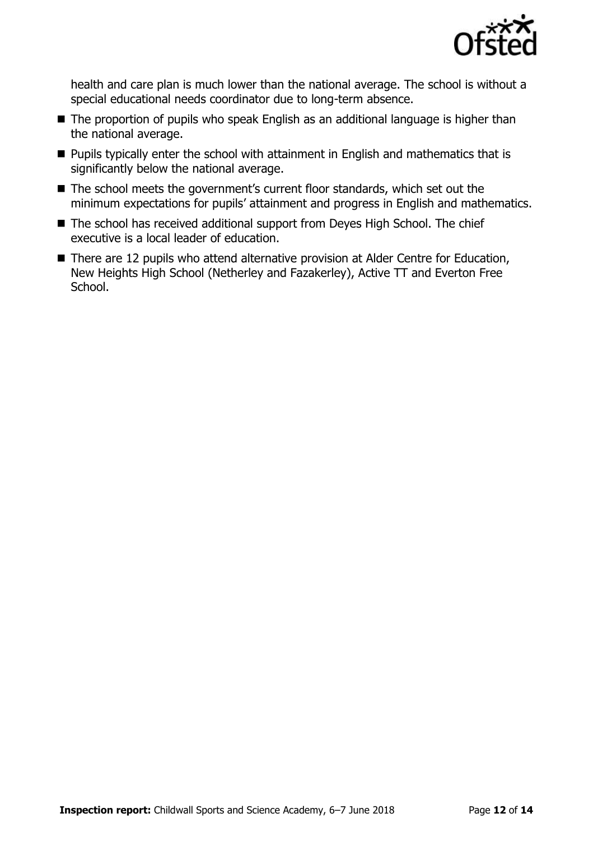

health and care plan is much lower than the national average. The school is without a special educational needs coordinator due to long-term absence.

- The proportion of pupils who speak English as an additional language is higher than the national average.
- **Pupils typically enter the school with attainment in English and mathematics that is** significantly below the national average.
- The school meets the government's current floor standards, which set out the minimum expectations for pupils' attainment and progress in English and mathematics.
- The school has received additional support from Deyes High School. The chief executive is a local leader of education.
- There are 12 pupils who attend alternative provision at Alder Centre for Education, New Heights High School (Netherley and Fazakerley), Active TT and Everton Free School.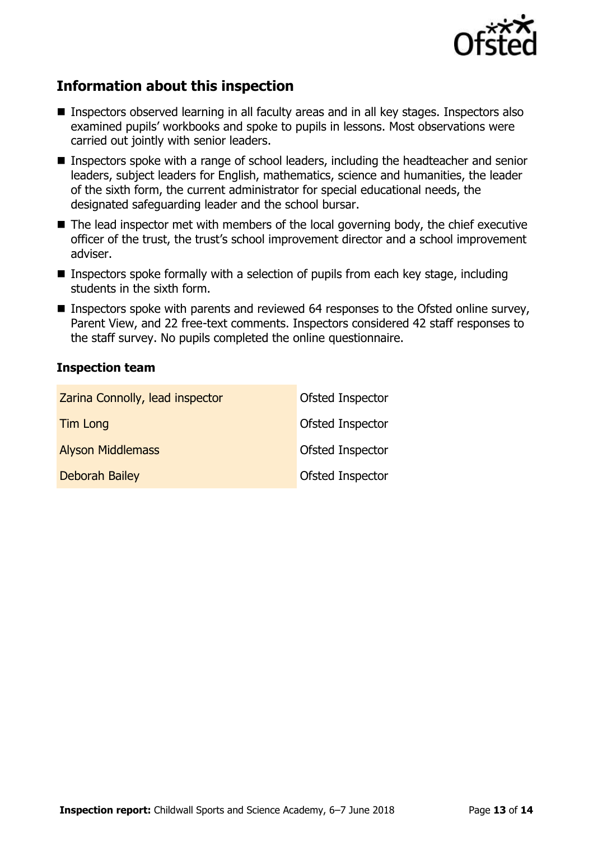

# **Information about this inspection**

- Inspectors observed learning in all faculty areas and in all key stages. Inspectors also examined pupils' workbooks and spoke to pupils in lessons. Most observations were carried out jointly with senior leaders.
- Inspectors spoke with a range of school leaders, including the headteacher and senior leaders, subject leaders for English, mathematics, science and humanities, the leader of the sixth form, the current administrator for special educational needs, the designated safeguarding leader and the school bursar.
- The lead inspector met with members of the local governing body, the chief executive officer of the trust, the trust's school improvement director and a school improvement adviser.
- **Inspectors spoke formally with a selection of pupils from each key stage, including** students in the sixth form.
- Inspectors spoke with parents and reviewed 64 responses to the Ofsted online survey, Parent View, and 22 free-text comments. Inspectors considered 42 staff responses to the staff survey. No pupils completed the online questionnaire.

#### **Inspection team**

| Zarina Connolly, lead inspector | Ofsted Inspector        |
|---------------------------------|-------------------------|
| <b>Tim Long</b>                 | Ofsted Inspector        |
| <b>Alyson Middlemass</b>        | Ofsted Inspector        |
| <b>Deborah Bailey</b>           | <b>Ofsted Inspector</b> |